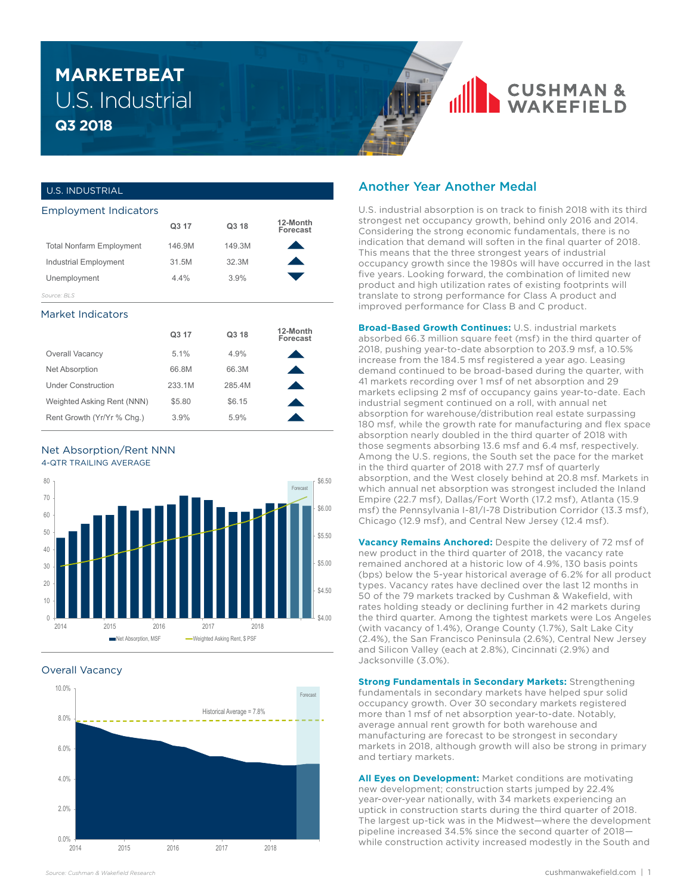# U.S. Industrial **Q3 2018 MARKETBEAT**

### U.S. INDUSTRIAL

| <b>Employment Indicators</b>    |        |        |                      |
|---------------------------------|--------|--------|----------------------|
|                                 | Q3 17  | Q3 18  | 12-Month<br>Forecast |
| <b>Total Nonfarm Employment</b> | 146.9M | 149.3M |                      |
| <b>Industrial Employment</b>    | 31.5M  | 32.3M  |                      |
| Unemployment                    | 4.4%   | 3.9%   |                      |
| Source: BLS                     |        |        |                      |

#### Market Indicators

|                            | Q3 17  | Q3 18  | 12-Month<br>Forecast |
|----------------------------|--------|--------|----------------------|
| Overall Vacancy            | 5.1%   | 4.9%   |                      |
| <b>Net Absorption</b>      | 66.8M  | 66.3M  |                      |
| <b>Under Construction</b>  | 233.1M | 285.4M |                      |
| Weighted Asking Rent (NNN) | \$5.80 | \$6.15 |                      |
| Rent Growth (Yr/Yr % Chq.) | 3.9%   | 5.9%   |                      |

#### Net Absorption/Rent NNN 4-QTR TRAILING AVERAGE



#### Overall Vacancy



## Another Year Another Medal

U.S. industrial absorption is on track to finish 2018 with its third strongest net occupancy growth, behind only 2016 and 2014. Considering the strong economic fundamentals, there is no indication that demand will soften in the final quarter of 2018. This means that the three strongest years of industrial occupancy growth since the 1980s will have occurred in the last five years. Looking forward, the combination of limited new product and high utilization rates of existing footprints will translate to strong performance for Class A product and improved performance for Class B and C product.

**CUSHMAN &**<br>WAKFFIFI D

**Broad-Based Growth Continues:** U.S. industrial markets absorbed 66.3 million square feet (msf) in the third quarter of 2018, pushing year-to-date absorption to 203.9 msf, a 10.5% increase from the 184.5 msf registered a year ago. Leasing demand continued to be broad-based during the quarter, with 41 markets recording over 1 msf of net absorption and 29 markets eclipsing 2 msf of occupancy gains year-to-date. Each industrial segment continued on a roll, with annual net absorption for warehouse/distribution real estate surpassing 180 msf, while the growth rate for manufacturing and flex space absorption nearly doubled in the third quarter of 2018 with those segments absorbing 13.6 msf and 6.4 msf, respectively. Among the U.S. regions, the South set the pace for the market in the third quarter of 2018 with 27.7 msf of quarterly absorption, and the West closely behind at 20.8 msf. Markets in which annual net absorption was strongest included the Inland Empire (22.7 msf), Dallas/Fort Worth (17.2 msf), Atlanta (15.9 msf) the Pennsylvania I-81/I-78 Distribution Corridor (13.3 msf), Chicago (12.9 msf), and Central New Jersey (12.4 msf).

**Vacancy Remains Anchored:** Despite the delivery of 72 msf of new product in the third quarter of 2018, the vacancy rate remained anchored at a historic low of 4.9%, 130 basis points (bps) below the 5-year historical average of 6.2% for all product types. Vacancy rates have declined over the last 12 months in 50 of the 79 markets tracked by Cushman & Wakefield, with rates holding steady or declining further in 42 markets during the third quarter. Among the tightest markets were Los Angeles (with vacancy of 1.4%), Orange County (1.7%), Salt Lake City (2.4%), the San Francisco Peninsula (2.6%), Central New Jersey and Silicon Valley (each at 2.8%), Cincinnati (2.9%) and Jacksonville (3.0%).

**Strong Fundamentals in Secondary Markets: Strengthening** fundamentals in secondary markets have helped spur solid occupancy growth. Over 30 secondary markets registered more than 1 msf of net absorption year-to-date. Notably, average annual rent growth for both warehouse and manufacturing are forecast to be strongest in secondary markets in 2018, although growth will also be strong in primary and tertiary markets.

**All Eyes on Development:** Market conditions are motivating new development; construction starts jumped by 22.4% year-over-year nationally, with 34 markets experiencing an uptick in construction starts during the third quarter of 2018. The largest up-tick was in the Midwest—where the development pipeline increased 34.5% since the second quarter of 2018 while construction activity increased modestly in the South and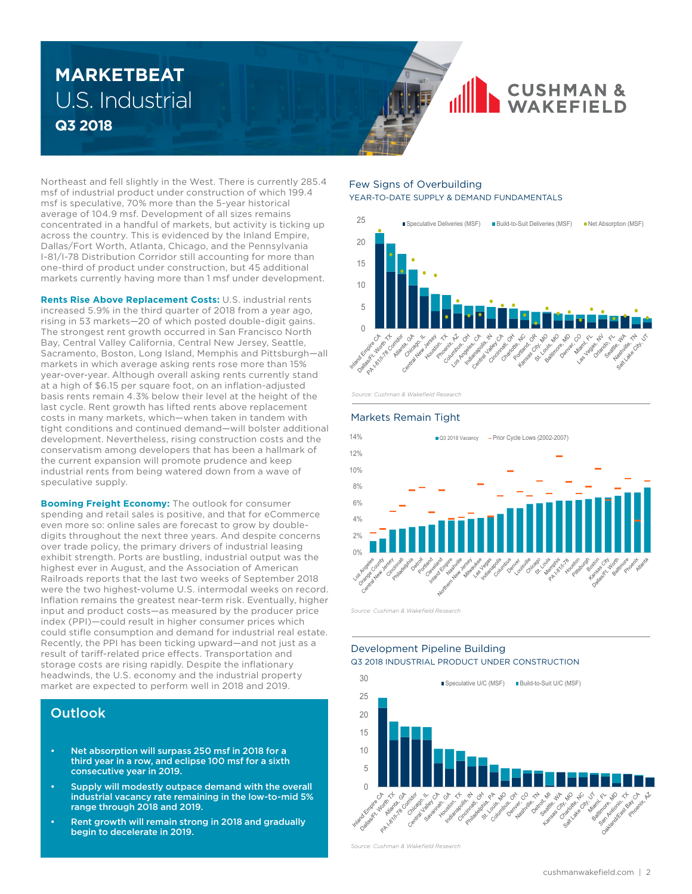# U.S. Industrial **Q3 2018 MARKETBEAT**

Northeast and fell slightly in the West. There is currently 285.4 msf of industrial product under construction of which 199.4 msf is speculative, 70% more than the 5-year historical average of 104.9 msf. Development of all sizes remains concentrated in a handful of markets, but activity is ticking up across the country. This is evidenced by the Inland Empire, Dallas/Fort Worth, Atlanta, Chicago, and the Pennsylvania I-81/I-78 Distribution Corridor still accounting for more than one-third of product under construction, but 45 additional markets currently having more than 1 msf under development.

**Rents Rise Above Replacement Costs:** U.S. industrial rents increased 5.9% in the third quarter of 2018 from a year ago, rising in 53 markets—20 of which posted double-digit gains. The strongest rent growth occurred in San Francisco North Bay, Central Valley California, Central New Jersey, Seattle, Sacramento, Boston, Long Island, Memphis and Pittsburgh—all markets in which average asking rents rose more than 15% year-over-year. Although overall asking rents currently stand at a high of \$6.15 per square foot, on an inflation-adjusted basis rents remain 4.3% below their level at the height of the last cycle. Rent growth has lifted rents above replacement costs in many markets, which—when taken in tandem with tight conditions and continued demand—will bolster additional development. Nevertheless, rising construction costs and the conservatism among developers that has been a hallmark of the current expansion will promote prudence and keep industrial rents from being watered down from a wave of speculative supply.

**Booming Freight Economy:** The outlook for consumer spending and retail sales is positive, and that for eCommerce even more so: online sales are forecast to grow by doubledigits throughout the next three years. And despite concerns over trade policy, the primary drivers of industrial leasing exhibit strength. Ports are bustling, industrial output was the highest ever in August, and the Association of American Railroads reports that the last two weeks of September 2018 were the two highest-volume U.S. intermodal weeks on record. Inflation remains the greatest near-term risk. Eventually, higher input and product costs—as measured by the producer price index (PPI)—could result in higher consumer prices which could stifle consumption and demand for industrial real estate. Recently, the PPI has been ticking upward—and not just as a result of tariff-related price effects. Transportation and storage costs are rising rapidly. Despite the inflationary headwinds, the U.S. economy and the industrial property market are expected to perform well in 2018 and 2019.

## **Outlook**

- Net absorption will surpass 250 msf in 2018 for a third year in a row, and eclipse 100 msf for a sixth consecutive year in 2019.
- Supply will modestly outpace demand with the overall industrial vacancy rate remaining in the low-to-mid 5% range through 2018 and 2019.
- Rent growth will remain strong in 2018 and gradually begin to decelerate in 2019.

#### Few Signs of Overbuilding YEAR-TO-DATE SUPPLY & DEMAND FUNDAMENTALS



**CUSHMAN &**<br>WAKEFIELD

*Source: Cushman & Wakefield Research*

#### Markets Remain Tight



*Source: Cushman & Wakefield Research*

### Development Pipeline Building Q3 2018 INDUSTRIAL PRODUCT UNDER CONSTRUCTION



*Source: Cushman & Wakefield Research*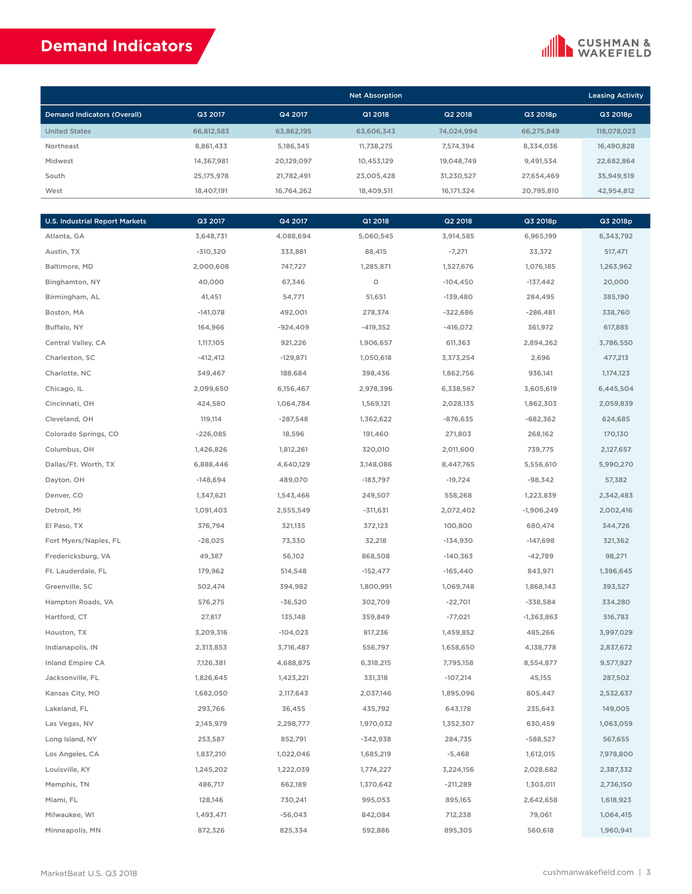## **Demand Indicators**

### **CUSHMAN &**<br>WAKEFIELD

|                                    |            |            | <b>Leasing Activity</b> |            |            |             |
|------------------------------------|------------|------------|-------------------------|------------|------------|-------------|
| <b>Demand Indicators (Overall)</b> | Q3 2017    | Q4 2017    | Q1 2018                 | Q2 2018    | Q3 2018p   | Q3 2018p    |
| <b>United States</b>               | 66.812.583 | 63.862.195 | 63.606.343              | 74.024.994 | 66.275.849 | 118.078.023 |
| Northeast                          | 8.861.433  | 5.186.345  | 11.738.275              | 7.574.394  | 8.334.036  | 16,490,828  |
| Midwest                            | 14.367.981 | 20.129.097 | 10.453.129              | 19.048.749 | 9.491.534  | 22,682,864  |
| South                              | 25.175.978 | 21.782.491 | 23.005.428              | 31,230,527 | 27.654.469 | 35.949.519  |
| West                               | 18.407.191 | 16,764,262 | 18.409.511              | 16,171,324 | 20,795,810 | 42,954,812  |

| <b>U.S. Industrial Report Markets</b> | Q3 2017    | Q4 2017    | Q1 2018    | Q2 2018    | Q3 2018p     | Q3 2018p  |
|---------------------------------------|------------|------------|------------|------------|--------------|-----------|
| Atlanta, GA                           | 3,648,731  | 4,088,694  | 5,060,545  | 3,914,585  | 6,965,199    | 6,343,792 |
| Austin, TX                            | $-310,320$ | 333,881    | 88,415     | $-7,271$   | 33,372       | 517,471   |
| Baltimore, MD                         | 2,000,608  | 747,727    | 1,285,871  | 1,527,676  | 1,076,185    | 1,263,962 |
| Binghamton, NY                        | 40,000     | 67,346     | $\circ$    | $-104,450$ | $-137,442$   | 20,000    |
| Birmingham, AL                        | 41,451     | 54,771     | 51,651     | $-139,480$ | 284,495      | 385,190   |
| Boston, MA                            | $-141,078$ | 492,001    | 278,374    | $-322,686$ | $-286,481$   | 338,760   |
| Buffalo, NY                           | 164,966    | $-924,409$ | $-419,352$ | $-416,072$ | 361,972      | 617,885   |
| Central Valley, CA                    | 1,117,105  | 921,226    | 1,906,657  | 611,363    | 2,894,262    | 3,786,550 |
| Charleston, SC                        | $-412,412$ | $-129,871$ | 1,050,618  | 3,373,254  | 2,696        | 477,213   |
| Charlotte, NC                         | 349,467    | 188,684    | 398,436    | 1,862,756  | 936,141      | 1,174,123 |
| Chicago, IL                           | 2,099,650  | 6,156,467  | 2,978,396  | 6,338,567  | 3,605,619    | 6,445,504 |
| Cincinnati, OH                        | 424,580    | 1,064,784  | 1,569,121  | 2,028,135  | 1,862,303    | 2,059,839 |
| Cleveland, OH                         | 119,114    | $-287,548$ | 1,362,622  | $-876,635$ | $-682,362$   | 624,685   |
| Colorado Springs, CO                  | $-226,085$ | 18,596     | 191,460    | 271,803    | 268,162      | 170,130   |
| Columbus, OH                          | 1,426,826  | 1,812,261  | 320,010    | 2,011,600  | 739,775      | 2,127,657 |
| Dallas/Ft. Worth, TX                  | 6,888,446  | 4,640,129  | 3,148,086  | 8,447,765  | 5,556,610    | 5,990,270 |
| Dayton, OH                            | $-148,694$ | 489,070    | -183,797   | $-19,724$  | $-98,342$    | 57,382    |
| Denver, CO                            | 1,347,621  | 1,543,466  | 249,507    | 558,268    | 1,223,839    | 2,342,483 |
| Detroit, MI                           | 1,091,403  | 2,555,549  | $-311,631$ | 2,072,402  | $-1,906,249$ | 2,002,416 |
| El Paso, TX                           | 376,794    | 321,135    | 372,123    | 100,800    | 680,474      | 344,726   |
| Fort Myers/Naples, FL                 | $-28,025$  | 73,330     | 32,218     | $-134,930$ | $-147,698$   | 321,362   |
| Fredericksburg, VA                    | 49,387     | 56,102     | 868,508    | $-140,363$ | $-42,789$    | 98,271    |
| Ft. Lauderdale, FL                    | 179,962    | 514,548    | $-152,477$ | $-165,440$ | 843,971      | 1,396,645 |
| Greenville, SC                        | 502,474    | 394,982    | 1,800,991  | 1,069,748  | 1,868,143    | 393,527   |
| Hampton Roads, VA                     | 576,275    | $-36,520$  | 302,709    | $-22,701$  | -338,584     | 334,280   |
| Hartford, CT                          | 27,817     | 135,148    | 359,849    | $-77,021$  | $-1,363,863$ | 516,783   |
| Houston, TX                           | 3,209,316  | $-104,023$ | 817,236    | 1,459,852  | 485,266      | 3,997,029 |
| Indianapolis, IN                      | 2,313,853  | 3,716,487  | 556,797    | 1,658,650  | 4,138,778    | 2,837,672 |
| Inland Empire CA                      | 7,126,381  | 4,688,875  | 6,318,215  | 7,795,158  | 8,554,877    | 9,577,927 |
| Jacksonville, FL                      | 1,826,645  | 1,423,221  | 331,318    | $-107,214$ | 45,155       | 287,502   |
| Kansas City, MO                       | 1,682,050  | 2,117,643  | 2,037,146  | 1,895,096  | 805,447      | 2,532,637 |
| Lakeland, FL                          | 293,766    | 36,455     | 435,792    | 643,178    | 235,643      | 149,005   |
| Las Vegas, NV                         | 2,145,979  | 2,298,777  | 1,970,032  | 1,352,307  | 630,459      | 1,063,059 |
| Long Island, NY                       | 253,587    | 852,791    | $-342,938$ | 284,735    | $-588,527$   | 567,655   |
| Los Angeles, CA                       | 1,837,210  | 1,022,046  | 1,685,219  | $-5,468$   | 1,612,015    | 7,978,800 |
| Louisville, KY                        | 1,245,202  | 1,222,039  | 1,774,227  | 3,224,156  | 2,028,682    | 2,387,332 |
| Memphis, TN                           | 486,717    | 662,189    | 1,370,642  | $-211,289$ | 1,303,011    | 2,736,150 |
| Miami, FL                             | 128,146    | 730,241    | 995,053    | 895,165    | 2,642,658    | 1,618,923 |
| Milwaukee, WI                         | 1,493,471  | $-56,043$  | 842,084    | 712,238    | 79,061       | 1,064,415 |
| Minneapolis, MN                       | 872,326    | 825,334    | 592,886    | 895,305    | 560,618      | 1,960,941 |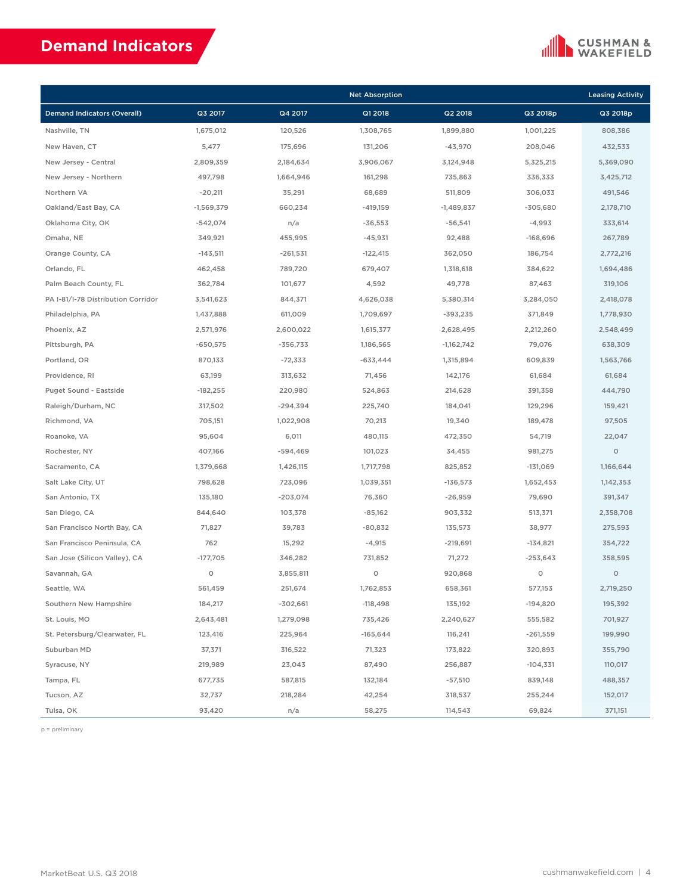# **Demand Indicators**



|                                    |              |            | <b>Net Absorption</b> |              |            | <b>Leasing Activity</b> |
|------------------------------------|--------------|------------|-----------------------|--------------|------------|-------------------------|
| <b>Demand Indicators (Overall)</b> | Q3 2017      | Q4 2017    | Q1 2018               | Q2 2018      | Q3 2018p   | Q3 2018p                |
| Nashville, TN                      | 1,675,012    | 120,526    | 1,308,765             | 1,899,880    | 1,001,225  | 808,386                 |
| New Haven, CT                      | 5,477        | 175,696    | 131,206               | $-43,970$    | 208,046    | 432,533                 |
| New Jersey - Central               | 2,809,359    | 2,184,634  | 3,906,067             | 3,124,948    | 5,325,215  | 5,369,090               |
| New Jersey - Northern              | 497,798      | 1,664,946  | 161,298               | 735,863      | 336,333    | 3,425,712               |
| Northern VA                        | $-20,211$    | 35,291     | 68,689                | 511,809      | 306,033    | 491,546                 |
| Oakland/East Bay, CA               | $-1,569,379$ | 660,234    | $-419,159$            | $-1,489,837$ | $-305,680$ | 2,178,710               |
| Oklahoma City, OK                  | $-542,074$   | n/a        | $-36,553$             | $-56,541$    | $-4,993$   | 333,614                 |
| Omaha, NE                          | 349,921      | 455,995    | $-45,931$             | 92,488       | $-168,696$ | 267,789                 |
| Orange County, CA                  | $-143,511$   | $-261,531$ | $-122,415$            | 362,050      | 186,754    | 2,772,216               |
| Orlando, FL                        | 462,458      | 789,720    | 679,407               | 1,318,618    | 384,622    | 1,694,486               |
| Palm Beach County, FL              | 362,784      | 101,677    | 4,592                 | 49,778       | 87,463     | 319,106                 |
| PA I-81/I-78 Distribution Corridor | 3,541,623    | 844,371    | 4,626,038             | 5,380,314    | 3,284,050  | 2,418,078               |
| Philadelphia, PA                   | 1,437,888    | 611,009    | 1,709,697             | $-393,235$   | 371,849    | 1,778,930               |
| Phoenix, AZ                        | 2,571,976    | 2,600,022  | 1,615,377             | 2,628,495    | 2,212,260  | 2,548,499               |
| Pittsburgh, PA                     | $-650,575$   | $-356,733$ | 1,186,565             | $-1,162,742$ | 79,076     | 638,309                 |
| Portland, OR                       | 870,133      | $-72,333$  | $-633,444$            | 1,315,894    | 609,839    | 1,563,766               |
| Providence, RI                     | 63,199       | 313,632    | 71,456                | 142,176      | 61,684     | 61,684                  |
| <b>Puget Sound - Eastside</b>      | $-182,255$   | 220,980    | 524,863               | 214,628      | 391,358    | 444,790                 |
| Raleigh/Durham, NC                 | 317,502      | $-294,394$ | 225,740               | 184,041      | 129,296    | 159,421                 |
| Richmond, VA                       | 705,151      | 1,022,908  | 70,213                | 19,340       | 189,478    | 97,505                  |
| Roanoke, VA                        | 95,604       | 6,011      | 480,115               | 472,350      | 54,719     | 22,047                  |
| Rochester, NY                      | 407,166      | -594,469   | 101,023               | 34,455       | 981,275    | $\circ$                 |
| Sacramento, CA                     | 1,379,668    | 1,426,115  | 1,717,798             | 825,852      | $-131,069$ | 1,166,644               |
| Salt Lake City, UT                 | 798,628      | 723,096    | 1,039,351             | $-136,573$   | 1,652,453  | 1,142,353               |
| San Antonio, TX                    | 135,180      | $-203,074$ | 76,360                | $-26,959$    | 79,690     | 391,347                 |
| San Diego, CA                      | 844,640      | 103,378    | $-85,162$             | 903,332      | 513,371    | 2,358,708               |
| San Francisco North Bay, CA        | 71,827       | 39,783     | $-80,832$             | 135,573      | 38,977     | 275,593                 |
| San Francisco Peninsula, CA        | 762          | 15,292     | $-4,915$              | $-219,691$   | $-134,821$ | 354,722                 |
| San Jose (Silicon Valley), CA      | -177,705     | 346,282    | 731,852               | 71,272       | $-253,643$ | 358,595                 |
| Savannah, GA                       | $\circ$      | 3,855,811  | $\circ$               | 920,868      | O          | $\circ$                 |
| Seattle, WA                        | 561,459      | 251,674    | 1,762,853             | 658,361      | 577,153    | 2,719,250               |
| Southern New Hampshire             | 184,217      | $-302,661$ | $-118,498$            | 135,192      | $-194,820$ | 195,392                 |
| St. Louis, MO                      | 2,643,481    | 1,279,098  | 735,426               | 2,240,627    | 555,582    | 701,927                 |
| St. Petersburg/Clearwater, FL      | 123,416      | 225,964    | $-165,644$            | 116,241      | $-261,559$ | 199,990                 |
| Suburban MD                        | 37,371       | 316,522    | 71,323                | 173,822      | 320,893    | 355,790                 |
| Syracuse, NY                       | 219,989      | 23,043     | 87,490                | 256,887      | $-104,331$ | 110,017                 |
| Tampa, FL                          | 677,735      | 587,815    | 132,184               | $-57,510$    | 839,148    | 488,357                 |
| Tucson, AZ                         | 32,737       | 218,284    | 42,254                | 318,537      | 255,244    | 152,017                 |
| Tulsa, OK                          | 93,420       | n/a        | 58,275                | 114,543      | 69,824     | 371,151                 |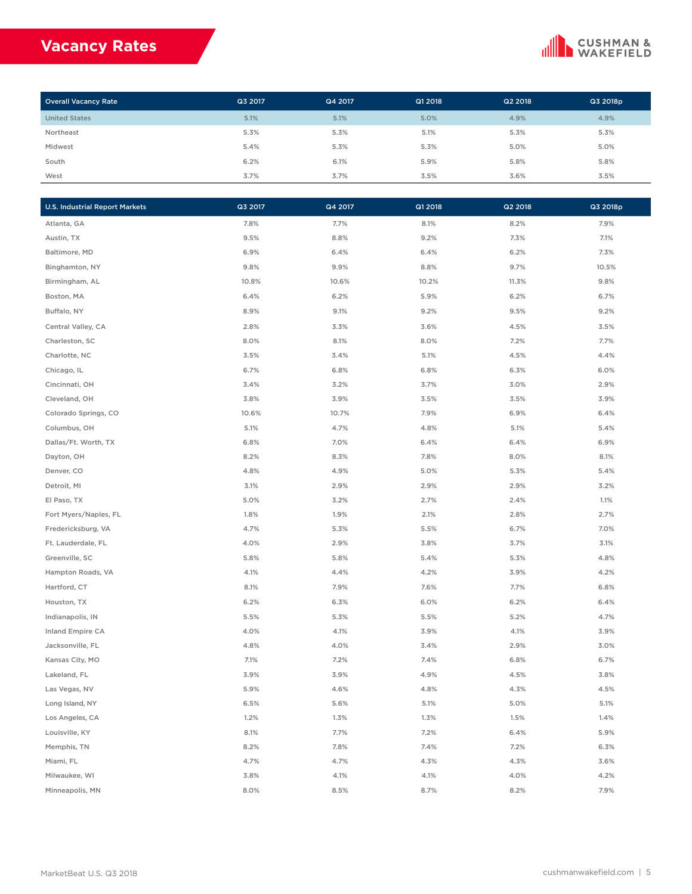## **Vacancy Rates**

## **CUSHMAN &**<br>WAKEFIELD

| <b>Overall Vacancy Rate</b> | Q3 2017 | Q4 2017 | Q1 2018 | Q2 2018 | Q3 2018p |
|-----------------------------|---------|---------|---------|---------|----------|
| <b>United States</b>        | 5.1%    | 5.1%    | 5.0%    | 4.9%    | 4.9%     |
| Northeast                   | 5.3%    | 5.3%    | 5.1%    | 5.3%    | 5.3%     |
| Midwest                     | 5.4%    | 5.3%    | 5.3%    | 5.0%    | 5.0%     |
| South                       | 6.2%    | 6.1%    | 5.9%    | 5.8%    | 5.8%     |
| West                        | 3.7%    | 3.7%    | 3.5%    | 3.6%    | 3.5%     |

| <b>U.S. Industrial Report Markets</b> | Q3 2017 | Q4 2017 | Q1 2018 | Q2 2018 | Q3 2018p |
|---------------------------------------|---------|---------|---------|---------|----------|
| Atlanta, GA                           | 7.8%    | 7.7%    | 8.1%    | 8.2%    | 7.9%     |
| Austin, TX                            | 9.5%    | 8.8%    | 9.2%    | 7.3%    | 7.1%     |
| Baltimore, MD                         | 6.9%    | 6.4%    | 6.4%    | 6.2%    | 7.3%     |
| Binghamton, NY                        | 9.8%    | 9.9%    | 8.8%    | 9.7%    | 10.5%    |
| Birmingham, AL                        | 10.8%   | 10.6%   | 10.2%   | 11.3%   | 9.8%     |
| Boston, MA                            | 6.4%    | 6.2%    | 5.9%    | 6.2%    | 6.7%     |
| Buffalo, NY                           | 8.9%    | 9.1%    | 9.2%    | 9.5%    | 9.2%     |
| Central Valley, CA                    | 2.8%    | 3.3%    | 3.6%    | 4.5%    | 3.5%     |
| Charleston, SC                        | 8.0%    | 8.1%    | 8.0%    | 7.2%    | 7.7%     |
| Charlotte, NC                         | 3.5%    | 3.4%    | 5.1%    | 4.5%    | 4.4%     |
| Chicago, IL                           | 6.7%    | 6.8%    | 6.8%    | 6.3%    | 6.0%     |
| Cincinnati, OH                        | 3.4%    | 3.2%    | 3.7%    | 3.0%    | 2.9%     |
| Cleveland, OH                         | 3.8%    | 3.9%    | 3.5%    | 3.5%    | 3.9%     |
| Colorado Springs, CO                  | 10.6%   | 10.7%   | 7.9%    | 6.9%    | 6.4%     |
| Columbus, OH                          | 5.1%    | 4.7%    | 4.8%    | 5.1%    | 5.4%     |
| Dallas/Ft. Worth, TX                  | 6.8%    | 7.0%    | 6.4%    | 6.4%    | 6.9%     |
| Dayton, OH                            | 8.2%    | 8.3%    | 7.8%    | 8.0%    | 8.1%     |
| Denver, CO                            | 4.8%    | 4.9%    | 5.0%    | 5.3%    | 5.4%     |
| Detroit, MI                           | 3.1%    | 2.9%    | 2.9%    | 2.9%    | 3.2%     |
| El Paso, TX                           | 5.0%    | 3.2%    | 2.7%    | 2.4%    | 1.1%     |
| Fort Myers/Naples, FL                 | 1.8%    | 1.9%    | 2.1%    | 2.8%    | 2.7%     |
| Fredericksburg, VA                    | 4.7%    | 5.3%    | 5.5%    | 6.7%    | 7.0%     |
| Ft. Lauderdale, FL                    | 4.0%    | 2.9%    | 3.8%    | 3.7%    | 3.1%     |
| Greenville, SC                        | 5.8%    | 5.8%    | 5.4%    | 5.3%    | 4.8%     |
| Hampton Roads, VA                     | 4.1%    | 4.4%    | 4.2%    | 3.9%    | 4.2%     |
| Hartford, CT                          | 8.1%    | 7.9%    | 7.6%    | 7.7%    | 6.8%     |
| Houston, TX                           | 6.2%    | 6.3%    | 6.0%    | 6.2%    | 6.4%     |
| Indianapolis, IN                      | 5.5%    | 5.3%    | 5.5%    | 5.2%    | 4.7%     |
| Inland Empire CA                      | 4.0%    | 4.1%    | 3.9%    | 4.1%    | 3.9%     |
| Jacksonville, FL                      | 4.8%    | 4.0%    | 3.4%    | 2.9%    | 3.0%     |
| Kansas City, MO                       | 7.1%    | 7.2%    | 7.4%    | 6.8%    | 6.7%     |
| Lakeland, FL                          | 3.9%    | 3.9%    | 4.9%    | 4.5%    | 3.8%     |
| Las Vegas, NV                         | 5.9%    | 4.6%    | 4.8%    | 4.3%    | 4.5%     |
| Long Island, NY                       | 6.5%    | 5.6%    | 5.1%    | 5.0%    | 5.1%     |
| Los Angeles, CA                       | 1.2%    | 1.3%    | 1.3%    | 1.5%    | 1.4%     |
| Louisville, KY                        | 8.1%    | 7.7%    | 7.2%    | 6.4%    | 5.9%     |
| Memphis, TN                           | 8.2%    | 7.8%    | 7.4%    | 7.2%    | 6.3%     |
| Miami, FL                             | 4.7%    | 4.7%    | 4.3%    | 4.3%    | 3.6%     |
| Milwaukee, WI                         | 3.8%    | 4.1%    | 4.1%    | 4.0%    | 4.2%     |
| Minneapolis, MN                       | 8.0%    | 8.5%    | 8.7%    | 8.2%    | 7.9%     |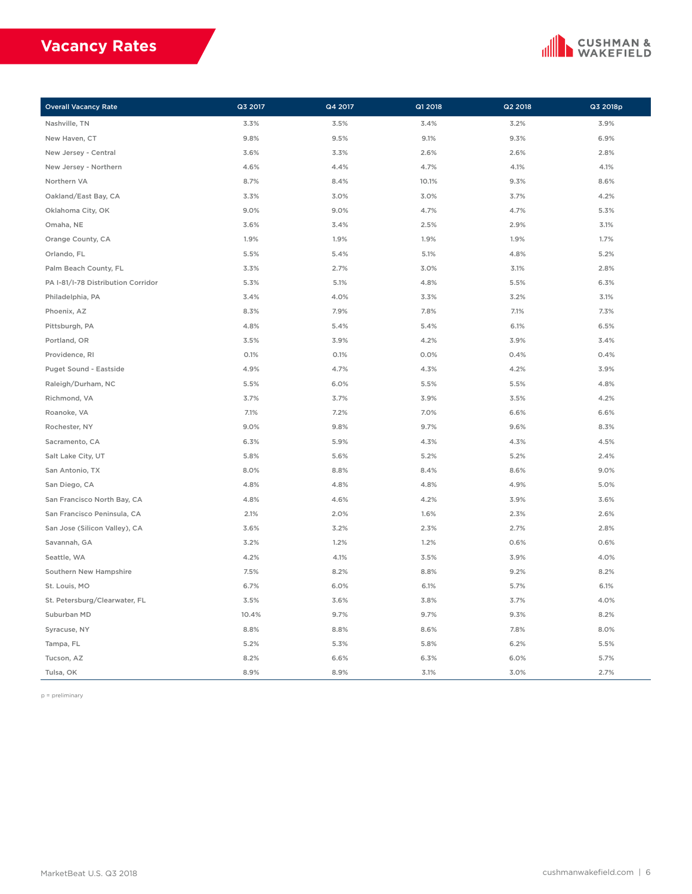## **Vacancy Rates**

## **CUSHMAN &**<br>WAKEFIELD

| <b>Overall Vacancy Rate</b>        | Q3 2017 | Q4 2017 | Q1 2018 | Q2 2018 | Q3 2018p |
|------------------------------------|---------|---------|---------|---------|----------|
| Nashville, TN                      | 3.3%    | 3.5%    | 3.4%    | 3.2%    | 3.9%     |
| New Haven, CT                      | 9.8%    | 9.5%    | 9.1%    | 9.3%    | 6.9%     |
| New Jersey - Central               | 3.6%    | 3.3%    | 2.6%    | 2.6%    | 2.8%     |
| New Jersey - Northern              | 4.6%    | 4.4%    | 4.7%    | 4.1%    | 4.1%     |
| Northern VA                        | 8.7%    | 8.4%    | 10.1%   | 9.3%    | 8.6%     |
| Oakland/East Bay, CA               | 3.3%    | 3.0%    | 3.0%    | 3.7%    | 4.2%     |
| Oklahoma City, OK                  | 9.0%    | 9.0%    | 4.7%    | 4.7%    | 5.3%     |
| Omaha, NE                          | 3.6%    | 3.4%    | 2.5%    | 2.9%    | 3.1%     |
| Orange County, CA                  | 1.9%    | 1.9%    | 1.9%    | 1.9%    | 1.7%     |
| Orlando, FL                        | 5.5%    | 5.4%    | 5.1%    | 4.8%    | 5.2%     |
| Palm Beach County, FL              | 3.3%    | 2.7%    | 3.0%    | 3.1%    | 2.8%     |
| PA I-81/I-78 Distribution Corridor | 5.3%    | 5.1%    | 4.8%    | 5.5%    | 6.3%     |
| Philadelphia, PA                   | 3.4%    | 4.0%    | 3.3%    | 3.2%    | 3.1%     |
| Phoenix, AZ                        | 8.3%    | 7.9%    | 7.8%    | 7.1%    | 7.3%     |
| Pittsburgh, PA                     | 4.8%    | 5.4%    | 5.4%    | 6.1%    | 6.5%     |
| Portland, OR                       | 3.5%    | 3.9%    | 4.2%    | 3.9%    | 3.4%     |
| Providence, RI                     | 0.1%    | 0.1%    | 0.0%    | 0.4%    | 0.4%     |
| Puget Sound - Eastside             | 4.9%    | 4.7%    | 4.3%    | 4.2%    | 3.9%     |
| Raleigh/Durham, NC                 | 5.5%    | 6.0%    | 5.5%    | 5.5%    | 4.8%     |
| Richmond, VA                       | 3.7%    | 3.7%    | 3.9%    | 3.5%    | 4.2%     |
| Roanoke, VA                        | 7.1%    | 7.2%    | 7.0%    | 6.6%    | 6.6%     |
| Rochester, NY                      | 9.0%    | 9.8%    | 9.7%    | 9.6%    | 8.3%     |
| Sacramento, CA                     | 6.3%    | 5.9%    | 4.3%    | 4.3%    | 4.5%     |
| Salt Lake City, UT                 | 5.8%    | 5.6%    | 5.2%    | 5.2%    | 2.4%     |
| San Antonio, TX                    | 8.0%    | 8.8%    | 8.4%    | 8.6%    | 9.0%     |
| San Diego, CA                      | 4.8%    | 4.8%    | 4.8%    | 4.9%    | 5.0%     |
| San Francisco North Bay, CA        | 4.8%    | 4.6%    | 4.2%    | 3.9%    | 3.6%     |
| San Francisco Peninsula, CA        | 2.1%    | 2.0%    | 1.6%    | 2.3%    | 2.6%     |
| San Jose (Silicon Valley), CA      | 3.6%    | 3.2%    | 2.3%    | 2.7%    | 2.8%     |
| Savannah, GA                       | 3.2%    | 1.2%    | 1.2%    | 0.6%    | 0.6%     |
| Seattle, WA                        | 4.2%    | 4.1%    | 3.5%    | 3.9%    | 4.0%     |
| Southern New Hampshire             | 7.5%    | 8.2%    | 8.8%    | 9.2%    | 8.2%     |
| St. Louis, MO                      | 6.7%    | 6.0%    | 6.1%    | 5.7%    | 6.1%     |
| St. Petersburg/Clearwater, FL      | 3.5%    | 3.6%    | 3.8%    | 3.7%    | 4.0%     |
| Suburban MD                        | 10.4%   | 9.7%    | 9.7%    | 9.3%    | 8.2%     |
| Syracuse, NY                       | 8.8%    | 8.8%    | 8.6%    | 7.8%    | 8.0%     |
| Tampa, FL                          | 5.2%    | 5.3%    | 5.8%    | 6.2%    | 5.5%     |
| Tucson, AZ                         | 8.2%    | 6.6%    | 6.3%    | 6.0%    | 5.7%     |
| Tulsa, OK                          | 8.9%    | 8.9%    | 3.1%    | 3.0%    | 2.7%     |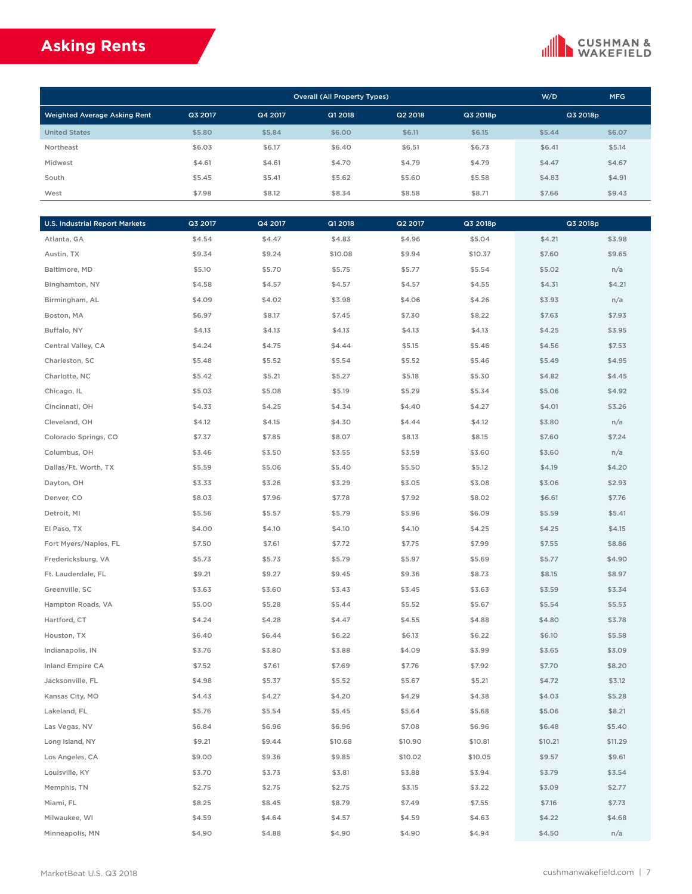## **Asking Rents**

### **CUSHMAN &**<br>WAKEFIELD

| <b>Overall (All Property Types)</b> |         |         |         |         |          | W/D      | <b>MFG</b> |
|-------------------------------------|---------|---------|---------|---------|----------|----------|------------|
| <b>Weighted Average Asking Rent</b> | Q3 2017 | Q4 2017 | Q1 2018 | Q2 2018 | Q3 2018p | Q3 2018p |            |
| <b>United States</b>                | \$5.80  | \$5.84  | \$6.00  | \$6.11  | \$6.15   | \$5.44   | \$6.07     |
| Northeast                           | \$6.03  | \$6.17  | \$6.40  | \$6.51  | \$6.73   | \$6.41   | \$5.14     |
| Midwest                             | \$4.61  | \$4.61  | \$4.70  | \$4.79  | \$4.79   | \$4.47   | \$4.67     |
| South                               | \$5.45  | \$5.41  | \$5.62  | \$5.60  | \$5.58   | \$4.83   | \$4.91     |
| West                                | \$7.98  | \$8.12  | \$8.34  | \$8.58  | \$8.71   | \$7.66   | \$9.43     |

| <b>U.S. Industrial Report Markets</b> | Q3 2017 | Q4 2017 | Q1 2018 | Q2 2017 | Q3 2018p |         | Q3 2018p |
|---------------------------------------|---------|---------|---------|---------|----------|---------|----------|
| Atlanta, GA                           | \$4.54  | \$4.47  | \$4.83  | \$4.96  | \$5.04   | \$4.21  | \$3.98   |
| Austin, TX                            | \$9.34  | \$9.24  | \$10.08 | \$9.94  | \$10.37  | \$7.60  | \$9.65   |
| Baltimore, MD                         | \$5.10  | \$5.70  | \$5.75  | \$5.77  | \$5.54   | \$5.02  | n/a      |
| Binghamton, NY                        | \$4.58  | \$4.57  | \$4.57  | \$4.57  | \$4.55   | \$4.31  | \$4.21   |
| Birmingham, AL                        | \$4.09  | \$4.02  | \$3.98  | \$4.06  | \$4.26   | \$3.93  | n/a      |
| Boston, MA                            | \$6.97  | \$8.17  | \$7.45  | \$7.30  | \$8.22   | \$7.63  | \$7.93   |
| Buffalo, NY                           | \$4.13  | \$4.13  | \$4.13  | \$4.13  | \$4.13   | \$4.25  | \$3.95   |
| Central Valley, CA                    | \$4.24  | \$4.75  | \$4.44  | \$5.15  | \$5.46   | \$4.56  | \$7.53   |
| Charleston, SC                        | \$5.48  | \$5.52  | \$5.54  | \$5.52  | \$5.46   | \$5.49  | \$4.95   |
| Charlotte, NC                         | \$5.42  | \$5.21  | \$5.27  | \$5.18  | \$5.30   | \$4.82  | \$4.45   |
| Chicago, IL                           | \$5.03  | \$5.08  | \$5.19  | \$5.29  | \$5.34   | \$5.06  | \$4.92   |
| Cincinnati, OH                        | \$4.33  | \$4.25  | \$4.34  | \$4.40  | \$4.27   | \$4.01  | \$3.26   |
| Cleveland, OH                         | \$4.12  | \$4.15  | \$4.30  | \$4.44  | \$4.12   | \$3.80  | n/a      |
| Colorado Springs, CO                  | \$7.37  | \$7.85  | \$8.07  | \$8.13  | \$8.15   | \$7.60  | \$7.24   |
| Columbus, OH                          | \$3.46  | \$3.50  | \$3.55  | \$3.59  | \$3.60   | \$3.60  | n/a      |
| Dallas/Ft. Worth, TX                  | \$5.59  | \$5.06  | \$5.40  | \$5.50  | \$5.12   | \$4.19  | \$4.20   |
| Dayton, OH                            | \$3.33  | \$3.26  | \$3.29  | \$3.05  | \$3.08   | \$3.06  | \$2.93   |
| Denver, CO                            | \$8.03  | \$7.96  | \$7.78  | \$7.92  | \$8.02   | \$6.61  | \$7.76   |
| Detroit, MI                           | \$5.56  | \$5.57  | \$5.79  | \$5.96  | \$6.09   | \$5.59  | \$5.41   |
| El Paso, TX                           | \$4.00  | \$4.10  | \$4.10  | \$4.10  | \$4.25   | \$4.25  | \$4.15   |
| Fort Myers/Naples, FL                 | \$7.50  | \$7.61  | \$7.72  | \$7.75  | \$7.99   | \$7.55  | \$8.86   |
| Fredericksburg, VA                    | \$5.73  | \$5.73  | \$5.79  | \$5.97  | \$5.69   | \$5.77  | \$4.90   |
| Ft. Lauderdale, FL                    | \$9.21  | \$9.27  | \$9.45  | \$9.36  | \$8.73   | \$8.15  | \$8.97   |
| Greenville, SC                        | \$3.63  | \$3.60  | \$3.43  | \$3.45  | \$3.63   | \$3.59  | \$3.34   |
| Hampton Roads, VA                     | \$5.00  | \$5.28  | \$5.44  | \$5.52  | \$5.67   | \$5.54  | \$5.53   |
| Hartford, CT                          | \$4.24  | \$4.28  | \$4.47  | \$4.55  | \$4.88   | \$4.80  | \$3.78   |
| Houston, TX                           | \$6.40  | \$6.44  | \$6.22  | \$6.13  | \$6.22   | \$6.10  | \$5.58   |
| Indianapolis, IN                      | \$3.76  | \$3.80  | \$3.88  | \$4.09  | \$3.99   | \$3.65  | \$3.09   |
| Inland Empire CA                      | \$7.52  | \$7.61  | \$7.69  | \$7.76  | \$7.92   | \$7.70  | \$8.20   |
| Jacksonville, FL                      | \$4.98  | \$5.37  | \$5.52  | \$5.67  | \$5.21   | \$4.72  | \$3.12   |
| Kansas City, MO                       | \$4.43  | \$4.27  | \$4.20  | \$4.29  | \$4.38   | \$4.03  | \$5.28   |
| Lakeland, FL                          | \$5.76  | \$5.54  | \$5.45  | \$5.64  | \$5.68   | \$5.06  | \$8.21   |
| Las Vegas, NV                         | \$6.84  | \$6.96  | \$6.96  | \$7.08  | \$6.96   | \$6.48  | \$5.40   |
| Long Island, NY                       | \$9.21  | \$9.44  | \$10.68 | \$10.90 | \$10.81  | \$10.21 | \$11.29  |
| Los Angeles, CA                       | \$9.00  | \$9.36  | \$9.85  | \$10.02 | \$10.05  | \$9.57  | \$9.61   |
| Louisville, KY                        | \$3.70  | \$3.73  | \$3.81  | \$3.88  | \$3.94   | \$3.79  | \$3.54   |
| Memphis, TN                           | \$2.75  | \$2.75  | \$2.75  | \$3.15  | \$3.22   | \$3.09  | \$2.77   |
| Miami, FL                             | \$8.25  | \$8.45  | \$8.79  | \$7.49  | \$7.55   | \$7.16  | \$7.73   |
| Milwaukee, WI                         | \$4.59  | \$4.64  | \$4.57  | \$4.59  | \$4.63   | \$4.22  | \$4.68   |
| Minneapolis, MN                       | \$4.90  | \$4.88  | \$4.90  | \$4.90  | \$4.94   | \$4.50  | n/a      |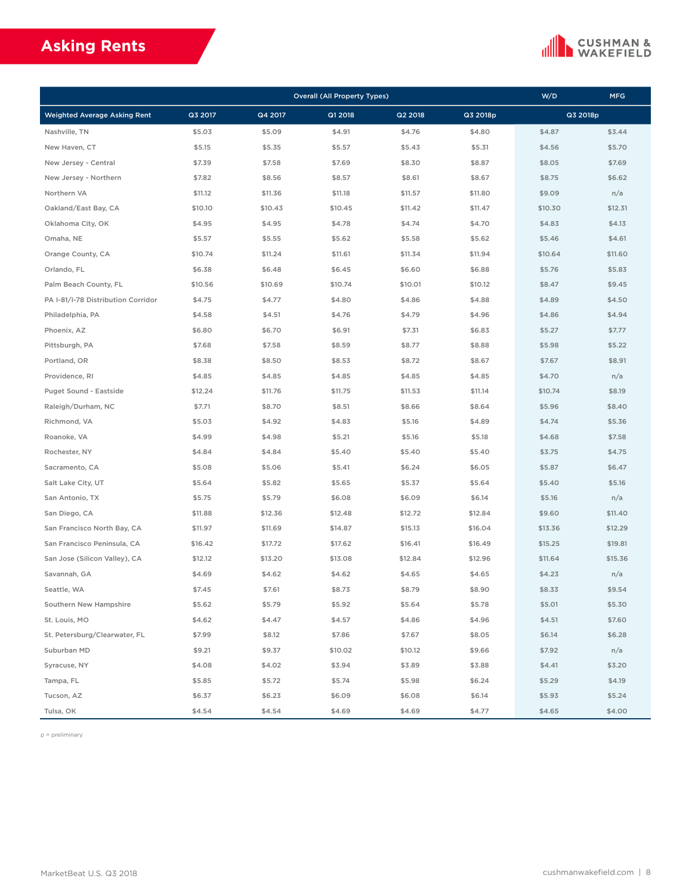## **Asking Rents**

## **CUSHMAN &**<br>WAKEFIELD

|                                     |         |         | <b>Overall (All Property Types)</b> |         |          | W/D     | <b>MFG</b> |
|-------------------------------------|---------|---------|-------------------------------------|---------|----------|---------|------------|
| <b>Weighted Average Asking Rent</b> | Q3 2017 | Q4 2017 | Q1 2018                             | Q2 2018 | Q3 2018p |         | Q3 2018p   |
| Nashville, TN                       | \$5.03  | \$5.09  | \$4.91                              | \$4.76  | \$4.80   | \$4.87  | \$3.44     |
| New Haven, CT                       | \$5.15  | \$5.35  | \$5.57                              | \$5.43  | \$5.31   | \$4.56  | \$5.70     |
| New Jersey - Central                | \$7.39  | \$7.58  | \$7.69                              | \$8.30  | \$8.87   | \$8.05  | \$7.69     |
| New Jersey - Northern               | \$7.82  | \$8.56  | \$8.57                              | \$8.61  | \$8.67   | \$8.75  | \$6.62     |
| Northern VA                         | \$11.12 | \$11.36 | \$11.18                             | \$11.57 | \$11.80  | \$9.09  | n/a        |
| Oakland/East Bay, CA                | \$10.10 | \$10.43 | \$10.45                             | \$11.42 | \$11.47  | \$10.30 | \$12.31    |
| Oklahoma City, OK                   | \$4.95  | \$4.95  | \$4.78                              | \$4.74  | \$4.70   | \$4.83  | \$4.13     |
| Omaha, NE                           | \$5.57  | \$5.55  | \$5.62                              | \$5.58  | \$5.62   | \$5.46  | \$4.61     |
| Orange County, CA                   | \$10.74 | \$11.24 | \$11.61                             | \$11.34 | \$11.94  | \$10.64 | \$11.60    |
| Orlando, FL                         | \$6.38  | \$6.48  | \$6.45                              | \$6.60  | \$6.88   | \$5.76  | \$5.83     |
| Palm Beach County, FL               | \$10.56 | \$10.69 | \$10.74                             | \$10.01 | \$10.12  | \$8.47  | \$9.45     |
| PA I-81/I-78 Distribution Corridor  | \$4.75  | \$4.77  | \$4.80                              | \$4.86  | \$4.88   | \$4.89  | \$4.50     |
| Philadelphia, PA                    | \$4.58  | \$4.51  | \$4.76                              | \$4.79  | \$4.96   | \$4.86  | \$4.94     |
| Phoenix, AZ                         | \$6.80  | \$6.70  | \$6.91                              | \$7.31  | \$6.83   | \$5.27  | \$7.77     |
| Pittsburgh, PA                      | \$7.68  | \$7.58  | \$8.59                              | \$8.77  | \$8.88   | \$5.98  | \$5.22     |
| Portland, OR                        | \$8.38  | \$8.50  | \$8.53                              | \$8.72  | \$8.67   | \$7.67  | \$8.91     |
| Providence, RI                      | \$4.85  | \$4.85  | \$4.85                              | \$4.85  | \$4.85   | \$4.70  | n/a        |
| Puget Sound - Eastside              | \$12.24 | \$11.76 | \$11.75                             | \$11.53 | \$11.14  | \$10.74 | \$8.19     |
| Raleigh/Durham, NC                  | \$7.71  | \$8.70  | \$8.51                              | \$8.66  | \$8.64   | \$5.96  | \$8.40     |
| Richmond, VA                        | \$5.03  | \$4.92  | \$4.83                              | \$5.16  | \$4.89   | \$4.74  | \$5.36     |
| Roanoke, VA                         | \$4.99  | \$4.98  | \$5.21                              | \$5.16  | \$5.18   | \$4.68  | \$7.58     |
| Rochester, NY                       | \$4.84  | \$4.84  | \$5.40                              | \$5.40  | \$5.40   | \$3.75  | \$4.75     |
| Sacramento, CA                      | \$5.08  | \$5.06  | \$5.41                              | \$6.24  | \$6.05   | \$5.87  | \$6.47     |
| Salt Lake City, UT                  | \$5.64  | \$5.82  | \$5.65                              | \$5.37  | \$5.64   | \$5.40  | \$5.16     |
| San Antonio, TX                     | \$5.75  | \$5.79  | \$6.08                              | \$6.09  | \$6.14   | \$5.16  | n/a        |
| San Diego, CA                       | \$11.88 | \$12.36 | \$12.48                             | \$12.72 | \$12.84  | \$9.60  | \$11.40    |
| San Francisco North Bay, CA         | \$11.97 | \$11.69 | \$14.87                             | \$15.13 | \$16.04  | \$13.36 | \$12.29    |
| San Francisco Peninsula, CA         | \$16.42 | \$17.72 | \$17.62                             | \$16.41 | \$16.49  | \$15.25 | \$19.81    |
| San Jose (Silicon Valley), CA       | \$12.12 | \$13.20 | \$13.08                             | \$12.84 | \$12.96  | \$11.64 | \$15.36    |
| Savannah, GA                        | \$4.69  | \$4.62  | \$4.62                              | \$4.65  | \$4.65   | \$4.23  | n/a        |
| Seattle, WA                         | \$7.45  | \$7.61  | \$8.73                              | \$8.79  | \$8.90   | \$8.33  | \$9.54     |
| Southern New Hampshire              | \$5.62  | \$5.79  | \$5.92                              | \$5.64  | \$5.78   | \$5.01  | \$5.30     |
| St. Louis, MO                       | \$4.62  | \$4.47  | \$4.57                              | \$4.86  | \$4.96   | \$4.51  | \$7.60     |
| St. Petersburg/Clearwater, FL       | \$7.99  | \$8.12  | \$7.86                              | \$7.67  | \$8.05   | \$6.14  | \$6.28     |
| Suburban MD                         | \$9.21  | \$9.37  | \$10.02                             | \$10.12 | \$9.66   | \$7.92  | n/a        |
| Syracuse, NY                        | \$4.08  | \$4.02  | \$3.94                              | \$3.89  | \$3.88   | \$4.41  | \$3.20     |
| Tampa, FL                           | \$5.85  | \$5.72  | \$5.74                              | \$5.98  | \$6.24   | \$5.29  | \$4.19     |
| Tucson, AZ                          | \$6.37  | \$6.23  | \$6.09                              | \$6.08  | \$6.14   | \$5.93  | \$5.24     |
| Tulsa, OK                           | \$4.54  | \$4.54  | \$4.69                              | \$4.69  | \$4.77   | \$4.65  | \$4.00     |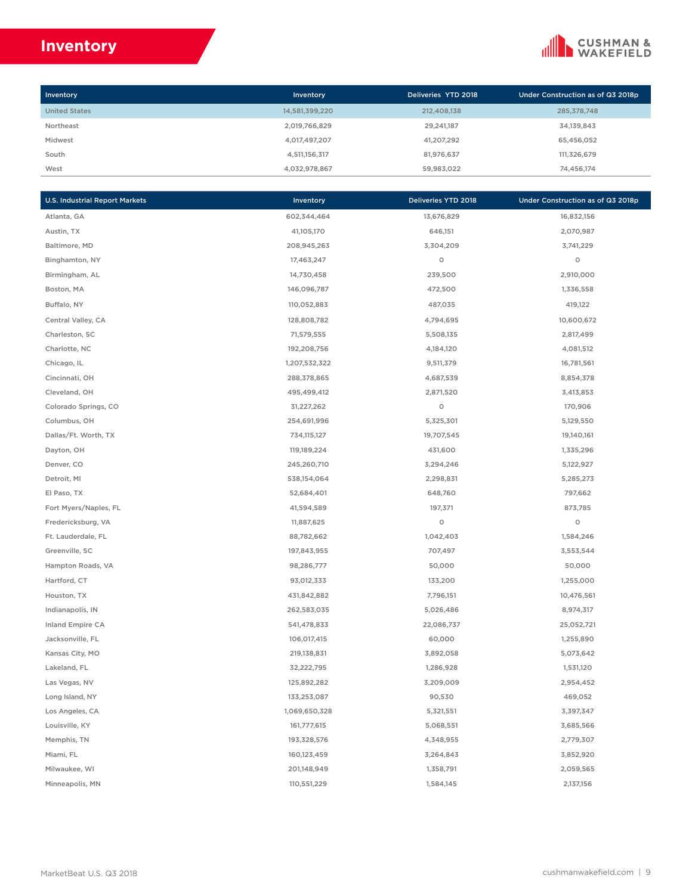## **Inventory**



| Inventory            | Inventory      | Deliveries YTD 2018 | Under Construction as of Q3 2018p |
|----------------------|----------------|---------------------|-----------------------------------|
| <b>United States</b> | 14,581,399,220 | 212,408,138         | 285,378,748                       |
| Northeast            | 2,019,766,829  | 29,241,187          | 34,139,843                        |
| Midwest              | 4,017,497,207  | 41,207,292          | 65,456,052                        |
| South                | 4,511,156,317  | 81,976,637          | 111,326,679                       |
| West                 | 4.032.978.867  | 59.983.022          | 74.456.174                        |

| <b>U.S. Industrial Report Markets</b> | Inventory     | Deliveries YTD 2018 | Under Construction as of Q3 2018p |
|---------------------------------------|---------------|---------------------|-----------------------------------|
| Atlanta, GA                           | 602,344,464   | 13,676,829          | 16,832,156                        |
| Austin, TX                            | 41,105,170    | 646,151             | 2,070,987                         |
| Baltimore, MD                         | 208,945,263   | 3,304,209           | 3,741,229                         |
| Binghamton, NY                        | 17,463,247    | 0                   | $\circ$                           |
| Birmingham, AL                        | 14,730,458    | 239,500             | 2,910,000                         |
| Boston, MA                            | 146,096,787   | 472,500             | 1,336,558                         |
| Buffalo, NY                           | 110,052,883   | 487,035             | 419,122                           |
| Central Valley, CA                    | 128,808,782   | 4,794,695           | 10,600,672                        |
| Charleston, SC                        | 71,579,555    | 5,508,135           | 2,817,499                         |
| Charlotte, NC                         | 192,208,756   | 4,184,120           | 4,081,512                         |
| Chicago, IL                           | 1,207,532,322 | 9,511,379           | 16,781,561                        |
| Cincinnati, OH                        | 288,378,865   | 4,687,539           | 8,854,378                         |
| Cleveland, OH                         | 495,499,412   | 2,871,520           | 3,413,853                         |
| Colorado Springs, CO                  | 31,227,262    | 0                   | 170,906                           |
| Columbus, OH                          | 254,691,996   | 5,325,301           | 5,129,550                         |
| Dallas/Ft. Worth, TX                  | 734,115,127   | 19,707,545          | 19,140,161                        |
| Dayton, OH                            | 119,189,224   | 431,600             | 1,335,296                         |
| Denver, CO                            | 245,260,710   | 3,294,246           | 5,122,927                         |
| Detroit, MI                           | 538,154,064   | 2,298,831           | 5,285,273                         |
| El Paso, TX                           | 52,684,401    | 648,760             | 797,662                           |
| Fort Myers/Naples, FL                 | 41,594,589    | 197,371             | 873,785                           |
| Fredericksburg, VA                    | 11,887,625    | 0                   | 0                                 |
| Ft. Lauderdale, FL                    | 88,782,662    | 1,042,403           | 1,584,246                         |
| Greenville, SC                        | 197,843,955   | 707,497             | 3,553,544                         |
| Hampton Roads, VA                     | 98,286,777    | 50,000              | 50,000                            |
| Hartford, CT                          | 93,012,333    | 133,200             | 1,255,000                         |
| Houston, TX                           | 431,842,882   | 7,796,151           | 10,476,561                        |
| Indianapolis, IN                      | 262,583,035   | 5,026,486           | 8,974,317                         |
| Inland Empire CA                      | 541,478,833   | 22,086,737          | 25,052,721                        |
| Jacksonville, FL                      | 106,017,415   | 60,000              | 1,255,890                         |
| Kansas City, MO                       | 219,138,831   | 3,892,058           | 5,073,642                         |
| Lakeland, FL                          | 32,222,795    | 1,286,928           | 1,531,120                         |
| Las Vegas, NV                         | 125,892,282   | 3,209,009           | 2,954,452                         |
| Long Island, NY                       | 133,253,087   | 90,530              | 469,052                           |
| Los Angeles, CA                       | 1,069,650,328 | 5,321,551           | 3,397,347                         |
| Louisville, KY                        | 161,777,615   | 5,068,551           | 3,685,566                         |
| Memphis, TN                           | 193,328,576   | 4,348,955           | 2,779,307                         |
| Miami, FL                             | 160,123,459   | 3,264,843           | 3,852,920                         |
| Milwaukee, WI                         | 201,148,949   | 1,358,791           | 2,059,565                         |
| Minneapolis, MN                       | 110,551,229   | 1,584,145           | 2,137,156                         |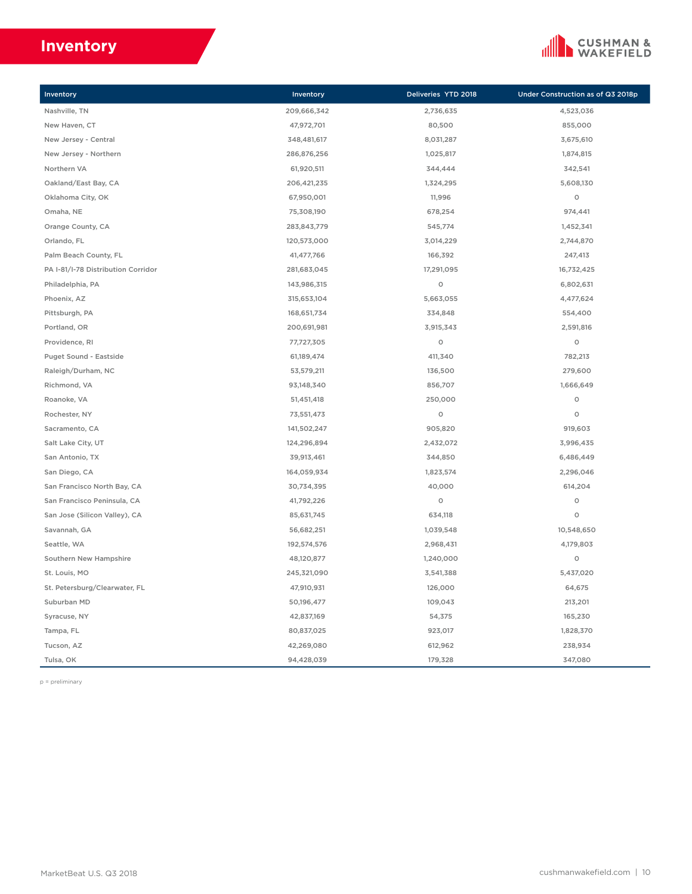## **Inventory**



| Inventory                          | Inventory   | Deliveries YTD 2018 | Under Construction as of Q3 2018p |
|------------------------------------|-------------|---------------------|-----------------------------------|
| Nashville, TN                      | 209,666,342 | 2,736,635           | 4,523,036                         |
| New Haven, CT                      | 47,972,701  | 80,500              | 855,000                           |
| New Jersey - Central               | 348,481,617 | 8,031,287           | 3,675,610                         |
| New Jersey - Northern              | 286,876,256 | 1,025,817           | 1,874,815                         |
| Northern VA                        | 61,920,511  | 344,444             | 342,541                           |
| Oakland/East Bay, CA               | 206,421,235 | 1,324,295           | 5,608,130                         |
| Oklahoma City, OK                  | 67,950,001  | 11,996              | $\circ$                           |
| Omaha, NE                          | 75,308,190  | 678,254             | 974,441                           |
| Orange County, CA                  | 283,843,779 | 545,774             | 1,452,341                         |
| Orlando, FL                        | 120,573,000 | 3,014,229           | 2,744,870                         |
| Palm Beach County, FL              | 41,477,766  | 166,392             | 247,413                           |
| PA I-81/I-78 Distribution Corridor | 281,683,045 | 17,291,095          | 16,732,425                        |
| Philadelphia, PA                   | 143,986,315 | $\circ$             | 6,802,631                         |
| Phoenix, AZ                        | 315,653,104 | 5,663,055           | 4,477,624                         |
| Pittsburgh, PA                     | 168,651,734 | 334,848             | 554,400                           |
| Portland, OR                       | 200,691,981 | 3,915,343           | 2,591,816                         |
| Providence, RI                     | 77,727,305  | $\circ$             | $\circ$                           |
| Puget Sound - Eastside             | 61,189,474  | 411,340             | 782,213                           |
| Raleigh/Durham, NC                 | 53,579,211  | 136,500             | 279,600                           |
| Richmond, VA                       | 93,148,340  | 856,707             | 1,666,649                         |
| Roanoke, VA                        | 51,451,418  | 250,000             | $\circ$                           |
| Rochester, NY                      | 73,551,473  | $\circ$             | $\circ$                           |
| Sacramento, CA                     | 141,502,247 | 905,820             | 919,603                           |
| Salt Lake City, UT                 | 124,296,894 | 2,432,072           | 3,996,435                         |
| San Antonio, TX                    | 39,913,461  | 344,850             | 6,486,449                         |
| San Diego, CA                      | 164,059,934 | 1,823,574           | 2,296,046                         |
| San Francisco North Bay, CA        | 30,734,395  | 40,000              | 614,204                           |
| San Francisco Peninsula, CA        | 41,792,226  | $\circ$             | $\circ$                           |
| San Jose (Silicon Valley), CA      | 85,631,745  | 634,118             | $\circ$                           |
| Savannah, GA                       | 56,682,251  | 1,039,548           | 10,548,650                        |
| Seattle, WA                        | 192,574,576 | 2,968,431           | 4,179,803                         |
| Southern New Hampshire             | 48,120,877  | 1,240,000           | $\circ$                           |
| St. Louis, MO                      | 245,321,090 | 3,541,388           | 5,437,020                         |
| St. Petersburg/Clearwater, FL      | 47,910,931  | 126,000             | 64,675                            |
| Suburban MD                        | 50,196,477  | 109,043             | 213,201                           |
| Syracuse, NY                       | 42,837,169  | 54,375              | 165,230                           |
| Tampa, FL                          | 80,837,025  | 923,017             | 1,828,370                         |
| Tucson, AZ                         | 42,269,080  | 612,962             | 238,934                           |
| Tulsa, OK                          | 94,428,039  | 179,328             | 347,080                           |